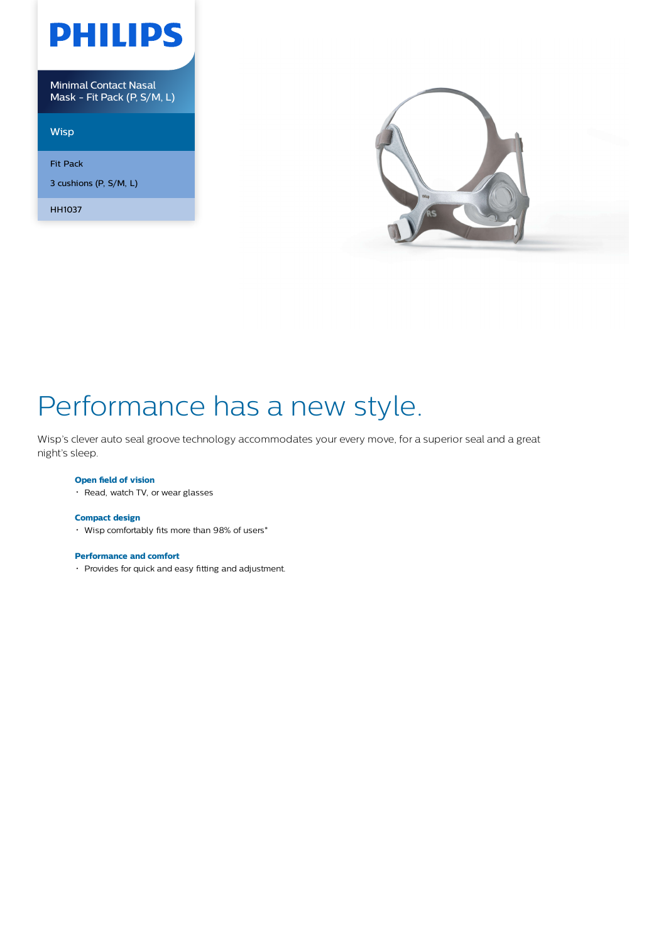

Minimal Contact Nasal Mask - Fit Pack (P, S/M, L)

**Wisp** 

Fit Pack

3 cushions (P, S/M, L)

HH1037



# Performance has a new style.

Wisp's clever auto seal groove technology accommodates your every move, for a superior seal and a great night's sleep.

### **Open field of vision**

• Read, watch TV, or wear glasses

### **Compact design**

Wisp comfortably fits more than 98% of users\*

#### **Performance and comfort**

Provides for quick and easy fitting and adjustment.